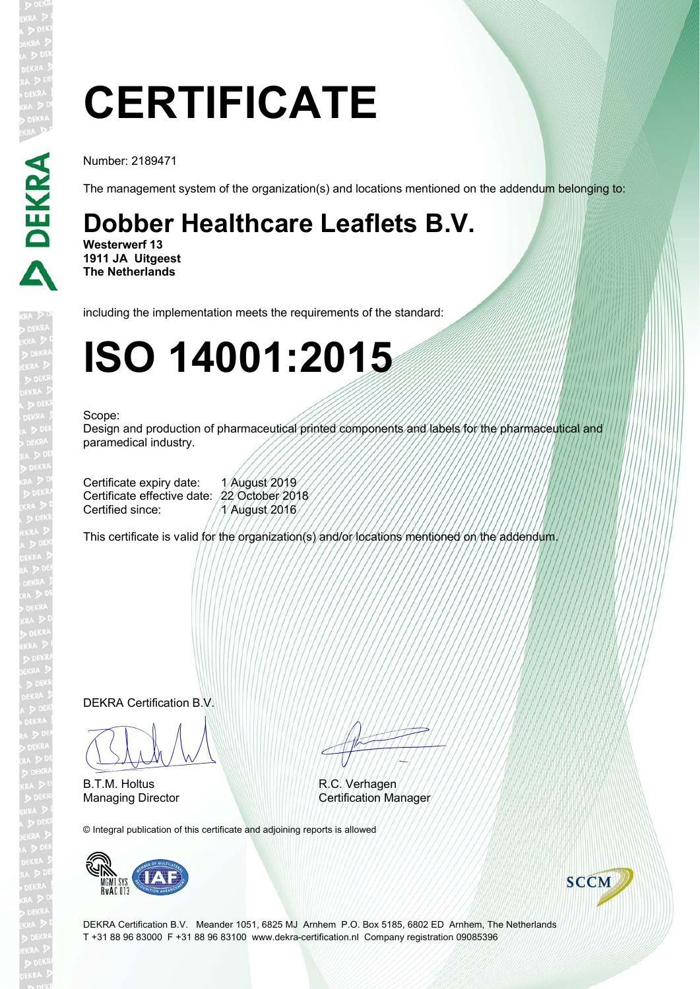# **CERTIFICATE**

Number: 2189471

The management system of the organization(s) and locations mentioned on the addendum belonging to:

### **Dobber Healthcare Leaflets B.V.**

**Westerwerf 13 1911 JA Uitgeest The Netherlands**

including the implementation meets the requirements of the standard:

## **ISO 14001:2015**

#### Scope:

Design and production of pharmaceutical printed components and labels for the pharmaceutical and paramedical industry.

Certificate expiry date: 1 August 2019 Certificate effective date: 22 October 2018 Certified since: 1 August 2016

This certificate is valid for the organization(s) and/or locations mentioned on the addendum.

DEKRA Certification B.V.

 $\sqrt{100}$ 

B.T.M. Holtus

EN TITULI

R.C. Verhagen Managing Director Certification Manager

© Integral publication of this certificate and adjoining reports is allowed





DEKRA Certification B.V. Meander 1051, 6825 MJ Arnhem P.O. Box 5185, 6802 ED Arnhem, The Netherlands T +31 88 96 83000 F +31 88 96 83100 www.dekra-certification.nl Company registration 09085396